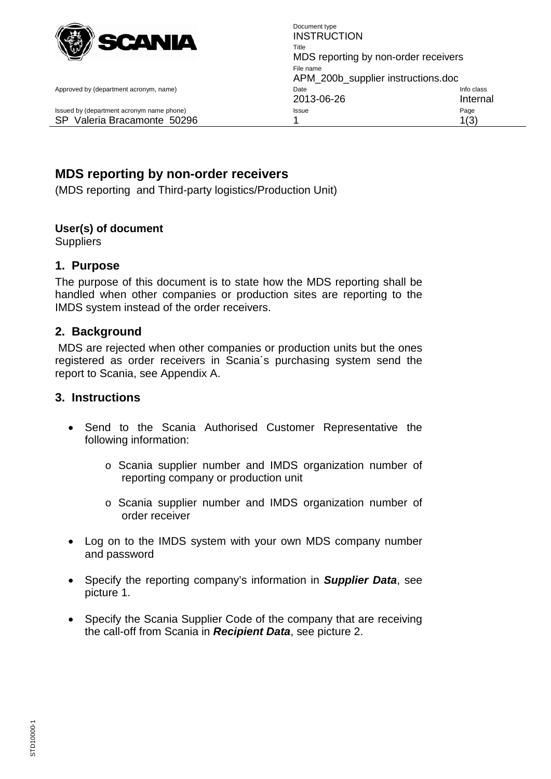

<span id="page-0-0"></span>

Document type **INSTRUCTION** Title MDS reporting by non-order receivers File name APM\_200b\_supplier instructions.doc Approved by (department acronym, name) and the Info class of the Info class of the Info class of the Info class 2013-06-26 Internal Issued by (department acronym name phone) **Issue Issue Page** SP Valeria Bracamonte 50296 1 1(3)

# **[MDS reporting by non-order receivers](#page-0-0)**

(MDS reporting and Third-party logistics/Production Unit)

#### **User(s) of document**

**Suppliers** 

#### **1. Purpose**

The purpose of this document is to state how the MDS reporting shall be handled when other companies or production sites are reporting to the IMDS system instead of the order receivers.

### **2. Background**

MDS are rejected when other companies or production units but the ones registered as order receivers in Scania´s purchasing system send the report to Scania, see Appendix A.

#### **3. Instructions**

- Send to the Scania Authorised Customer Representative the following information:
	- o Scania supplier number and IMDS organization number of reporting company or production unit
	- o Scania supplier number and IMDS organization number of order receiver
- Log on to the IMDS system with your own MDS company number and password
- Specify the reporting company's information in *Supplier Data*, see picture 1.
- Specify the Scania Supplier Code of the company that are receiving the call-off from Scania in *Recipient Data*, see picture 2.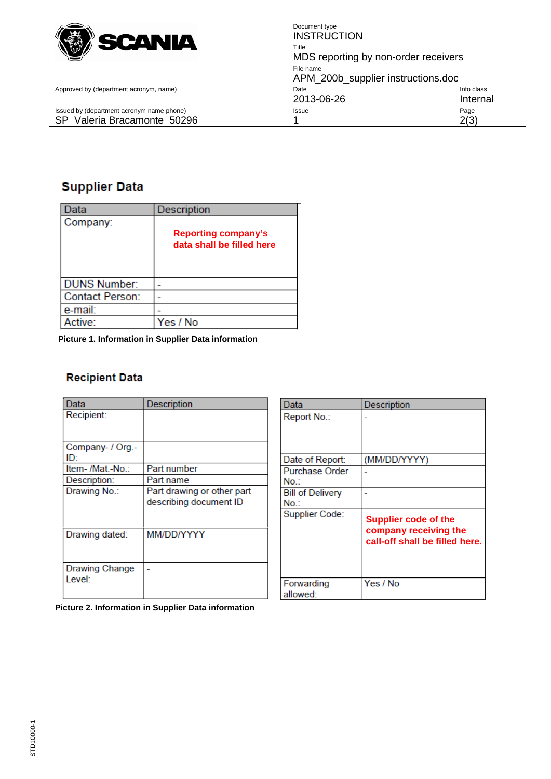

Document type **INSTRUCTION** Title MDS reporting by non-order receivers File name APM\_200b\_supplier instructions.doc Approved by (department acronym, name) and Date Info class control by Cass and Date Info class 2013-06-26 Internal<br>Issue Page Page SP Valeria Bracamonte 50296 1 2(3)

Issued by (department acronym name phone) Issue

## **Supplier Data**

| Data                   | Description                                             |
|------------------------|---------------------------------------------------------|
| Company:               | <b>Reporting company's</b><br>data shall be filled here |
| <b>DUNS Number:</b>    |                                                         |
| <b>Contact Person:</b> |                                                         |
| e-mail:                |                                                         |
| ctive:                 | Yes / No                                                |

**Picture 1. Information in Supplier Data information** 

#### **Recipient Data**

| Data             | Description                |
|------------------|----------------------------|
| Recipient:       |                            |
|                  |                            |
|                  |                            |
| Company- / Org.- |                            |
| ID:              |                            |
| Item- /Mat.-No.: | Part number                |
| Description:     | Part name                  |
| Drawing No.:     | Part drawing or other part |
|                  | describing document ID     |
|                  |                            |
|                  |                            |
| Drawing dated:   | MM/DD/YYYY                 |
|                  |                            |
|                  |                            |
| Drawing Change   |                            |
| Level:           |                            |
|                  |                            |
|                  |                            |

| Data                           | Description                                                                            |
|--------------------------------|----------------------------------------------------------------------------------------|
| Report No.:                    |                                                                                        |
| Date of Report:                | (MM/DD/YYYY)                                                                           |
| <b>Purchase Order</b><br>No.:  |                                                                                        |
| <b>Bill of Delivery</b><br>No. |                                                                                        |
| Supplier Code:                 | <b>Supplier code of the</b><br>company receiving the<br>call-off shall be filled here. |
| Forwarding<br>allowed:         | Yes / No                                                                               |

**Picture 2. Information in Supplier Data information**